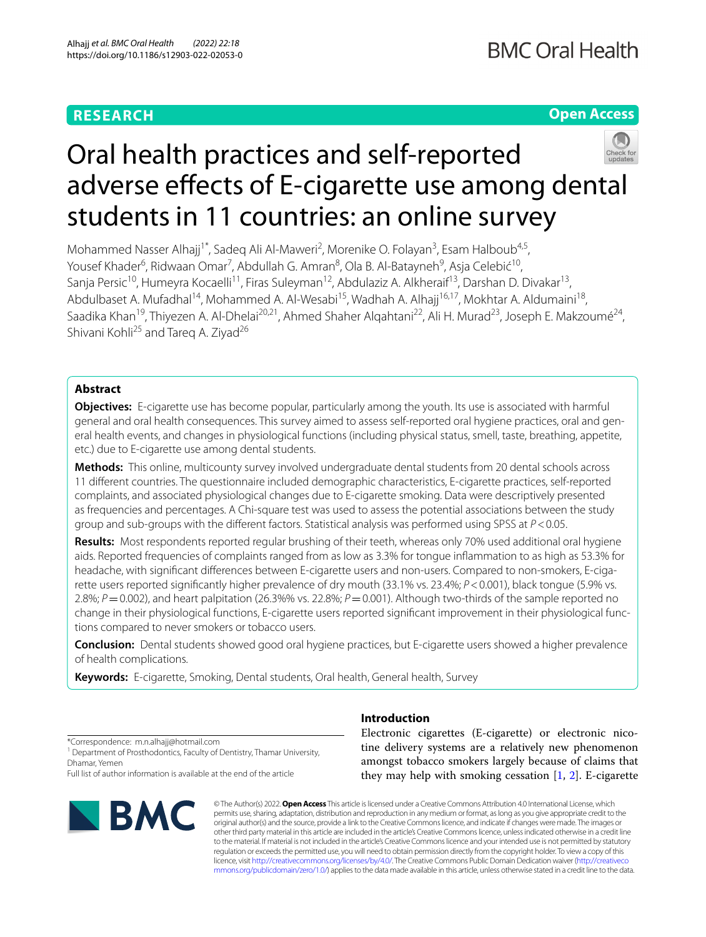## **RESEARCH**

**Open Access**

# Oral health practices and self-reported adverse effects of E-cigarette use among dental students in 11 countries: an online survey

Mohammed Nasser Alhajj<sup>1\*</sup>, Sadeq Ali Al-Maweri<sup>2</sup>, Morenike O. Folayan<sup>3</sup>, Esam Halboub<sup>4,5</sup>, Yousef Khader<sup>6</sup>, Ridwaan Omar<sup>7</sup>, Abdullah G. Amran<sup>8</sup>, Ola B. Al-Batayneh<sup>9</sup>, Asja Celebić<sup>10</sup>, Sanja Persic<sup>10</sup>, Humeyra Kocaelli<sup>11</sup>, Firas Suleyman<sup>12</sup>, Abdulaziz A. Alkheraif<sup>13</sup>, Darshan D. Divakar<sup>13</sup>, Abdulbaset A. Mufadhal<sup>14</sup>, Mohammed A. Al-Wesabi<sup>15</sup>, Wadhah A. Alhajj<sup>16,17</sup>, Mokhtar A. Aldumaini<sup>18</sup>, Saadika Khan<sup>19</sup>, Thiyezen A. Al-Dhelai<sup>20,21</sup>, Ahmed Shaher Alqahtani<sup>22</sup>, Ali H. Murad<sup>23</sup>, Joseph E. Makzoumé<sup>24</sup>, Shivani Kohli<sup>25</sup> and Tareq A. Ziyad<sup>26</sup>

## **Abstract**

**Objectives:** E-cigarette use has become popular, particularly among the youth. Its use is associated with harmful general and oral health consequences. This survey aimed to assess self-reported oral hygiene practices, oral and general health events, and changes in physiological functions (including physical status, smell, taste, breathing, appetite, etc.) due to E-cigarette use among dental students.

**Methods:** This online, multicounty survey involved undergraduate dental students from 20 dental schools across 11 diferent countries. The questionnaire included demographic characteristics, E-cigarette practices, self-reported complaints, and associated physiological changes due to E-cigarette smoking. Data were descriptively presented as frequencies and percentages. A Chi-square test was used to assess the potential associations between the study group and sub-groups with the diferent factors. Statistical analysis was performed using SPSS at *P*<0.05.

**Results:** Most respondents reported regular brushing of their teeth, whereas only 70% used additional oral hygiene aids. Reported frequencies of complaints ranged from as low as 3.3% for tongue infammation to as high as 53.3% for headache, with significant differences between E-cigarette users and non-users. Compared to non-smokers, E-cigarette users reported signifcantly higher prevalence of dry mouth (33.1% vs. 23.4%; *P*<0.001), black tongue (5.9% vs. 2.8%; *P*=0.002), and heart palpitation (26.3%% vs. 22.8%; *P*=0.001). Although two-thirds of the sample reported no change in their physiological functions, E-cigarette users reported significant improvement in their physiological functions compared to never smokers or tobacco users.

**Conclusion:** Dental students showed good oral hygiene practices, but E-cigarette users showed a higher prevalence of health complications.

**Keywords:** E-cigarette, Smoking, Dental students, Oral health, General health, Survey

\*Correspondence: m.n.alhajj@hotmail.com

<sup>1</sup> Department of Prosthodontics, Faculty of Dentistry, Thamar University, Dhamar, Yemen

Full list of author information is available at the end of the article



## **Introduction**

Electronic cigarettes (E-cigarette) or electronic nicotine delivery systems are a relatively new phenomenon amongst tobacco smokers largely because of claims that they may help with smoking cessation [\[1](#page-7-0), [2](#page-7-1)]. E-cigarette

© The Author(s) 2022. **Open Access** This article is licensed under a Creative Commons Attribution 4.0 International License, which permits use, sharing, adaptation, distribution and reproduction in any medium or format, as long as you give appropriate credit to the original author(s) and the source, provide a link to the Creative Commons licence, and indicate if changes were made. The images or other third party material in this article are included in the article's Creative Commons licence, unless indicated otherwise in a credit line to the material. If material is not included in the article's Creative Commons licence and your intended use is not permitted by statutory regulation or exceeds the permitted use, you will need to obtain permission directly from the copyright holder. To view a copy of this licence, visit [http://creativecommons.org/licenses/by/4.0/.](http://creativecommons.org/licenses/by/4.0/) The Creative Commons Public Domain Dedication waiver ([http://creativeco](http://creativecommons.org/publicdomain/zero/1.0/) [mmons.org/publicdomain/zero/1.0/](http://creativecommons.org/publicdomain/zero/1.0/)) applies to the data made available in this article, unless otherwise stated in a credit line to the data.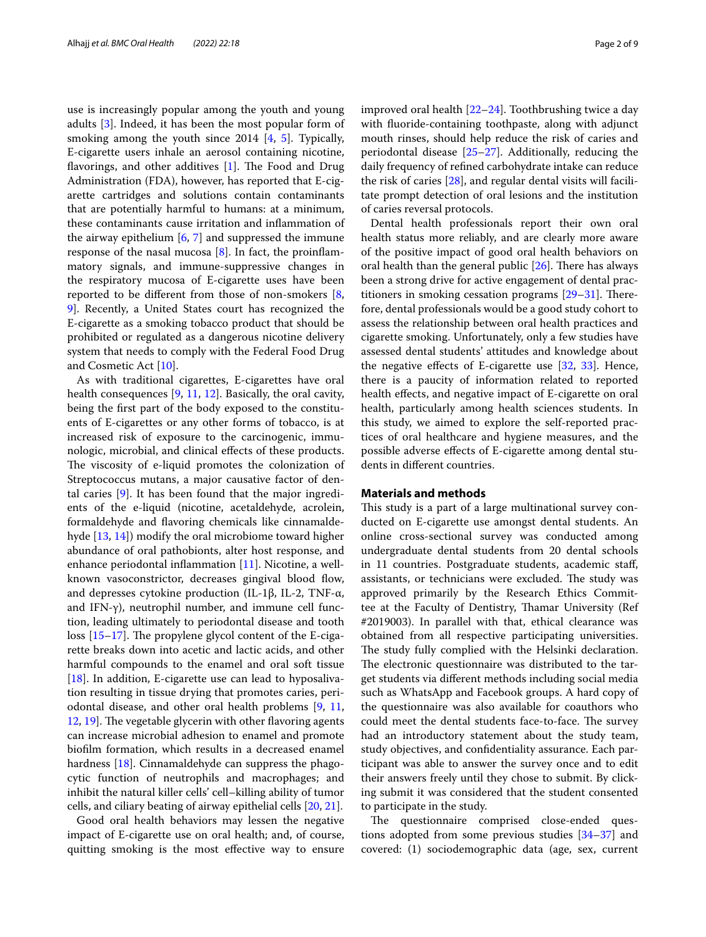use is increasingly popular among the youth and young adults [[3\]](#page-7-2). Indeed, it has been the most popular form of smoking among the youth since 2014 [[4,](#page-7-3) [5](#page-7-4)]. Typically, E-cigarette users inhale an aerosol containing nicotine, flavorings, and other additives  $[1]$  $[1]$ . The Food and Drug Administration (FDA), however, has reported that E-cigarette cartridges and solutions contain contaminants that are potentially harmful to humans: at a minimum, these contaminants cause irritation and infammation of the airway epithelium  $[6, 7]$  $[6, 7]$  $[6, 7]$  $[6, 7]$  and suppressed the immune response of the nasal mucosa  $[8]$  $[8]$ . In fact, the proinflammatory signals, and immune-suppressive changes in the respiratory mucosa of E-cigarette uses have been reported to be diferent from those of non-smokers [\[8](#page-7-7), [9\]](#page-7-8). Recently, a United States court has recognized the E-cigarette as a smoking tobacco product that should be prohibited or regulated as a dangerous nicotine delivery system that needs to comply with the Federal Food Drug and Cosmetic Act [\[10](#page-7-9)].

As with traditional cigarettes, E-cigarettes have oral health consequences [[9](#page-7-8), [11](#page-7-10), [12](#page-7-11)]. Basically, the oral cavity, being the frst part of the body exposed to the constituents of E-cigarettes or any other forms of tobacco, is at increased risk of exposure to the carcinogenic, immunologic, microbial, and clinical efects of these products. The viscosity of e-liquid promotes the colonization of Streptococcus mutans, a major causative factor of dental caries [\[9](#page-7-8)]. It has been found that the major ingredients of the e-liquid (nicotine, acetaldehyde, acrolein, formaldehyde and favoring chemicals like cinnamaldehyde [[13,](#page-7-12) [14](#page-7-13)]) modify the oral microbiome toward higher abundance of oral pathobionts, alter host response, and enhance periodontal inflammation  $[11]$ . Nicotine, a wellknown vasoconstrictor, decreases gingival blood flow, and depresses cytokine production (IL-1β, IL-2, TNF-α, and IFN-γ), neutrophil number, and immune cell function, leading ultimately to periodontal disease and tooth loss  $[15-17]$  $[15-17]$ . The propylene glycol content of the E-cigarette breaks down into acetic and lactic acids, and other harmful compounds to the enamel and oral soft tissue [[18\]](#page-7-16). In addition, E-cigarette use can lead to hyposalivation resulting in tissue drying that promotes caries, periodontal disease, and other oral health problems [\[9](#page-7-8), [11](#page-7-10), [12,](#page-7-11) [19\]](#page-7-17). The vegetable glycerin with other flavoring agents can increase microbial adhesion to enamel and promote bioflm formation, which results in a decreased enamel hardness [\[18](#page-7-16)]. Cinnamaldehyde can suppress the phagocytic function of neutrophils and macrophages; and inhibit the natural killer cells' cell–killing ability of tumor cells, and ciliary beating of airway epithelial cells [[20,](#page-8-0) [21\]](#page-8-1).

Good oral health behaviors may lessen the negative impact of E-cigarette use on oral health; and, of course, quitting smoking is the most efective way to ensure improved oral health [\[22](#page-8-2)[–24\]](#page-8-3). Toothbrushing twice a day with fuoride-containing toothpaste, along with adjunct mouth rinses, should help reduce the risk of caries and periodontal disease [\[25](#page-8-4)[–27\]](#page-8-5). Additionally, reducing the daily frequency of refned carbohydrate intake can reduce the risk of caries  $[28]$  $[28]$  $[28]$ , and regular dental visits will facilitate prompt detection of oral lesions and the institution of caries reversal protocols.

Dental health professionals report their own oral health status more reliably, and are clearly more aware of the positive impact of good oral health behaviors on oral health than the general public  $[26]$  $[26]$  $[26]$ . There has always been a strong drive for active engagement of dental practitioners in smoking cessation programs  $[29-31]$  $[29-31]$ . Therefore, dental professionals would be a good study cohort to assess the relationship between oral health practices and cigarette smoking. Unfortunately, only a few studies have assessed dental students' attitudes and knowledge about the negative effects of E-cigarette use  $[32, 33]$  $[32, 33]$  $[32, 33]$  $[32, 33]$  $[32, 33]$ . Hence, there is a paucity of information related to reported health effects, and negative impact of E-cigarette on oral health, particularly among health sciences students. In this study, we aimed to explore the self-reported practices of oral healthcare and hygiene measures, and the possible adverse efects of E-cigarette among dental students in diferent countries.

#### **Materials and methods**

This study is a part of a large multinational survey conducted on E-cigarette use amongst dental students. An online cross-sectional survey was conducted among undergraduate dental students from 20 dental schools in 11 countries. Postgraduate students, academic staf, assistants, or technicians were excluded. The study was approved primarily by the Research Ethics Committee at the Faculty of Dentistry, Thamar University (Ref #2019003). In parallel with that, ethical clearance was obtained from all respective participating universities. The study fully complied with the Helsinki declaration. The electronic questionnaire was distributed to the target students via diferent methods including social media such as WhatsApp and Facebook groups. A hard copy of the questionnaire was also available for coauthors who could meet the dental students face-to-face. The survey had an introductory statement about the study team, study objectives, and confdentiality assurance. Each participant was able to answer the survey once and to edit their answers freely until they chose to submit. By clicking submit it was considered that the student consented to participate in the study.

The questionnaire comprised close-ended questions adopted from some previous studies [[34](#page-8-12)[–37](#page-8-13)] and covered: (1) sociodemographic data (age, sex, current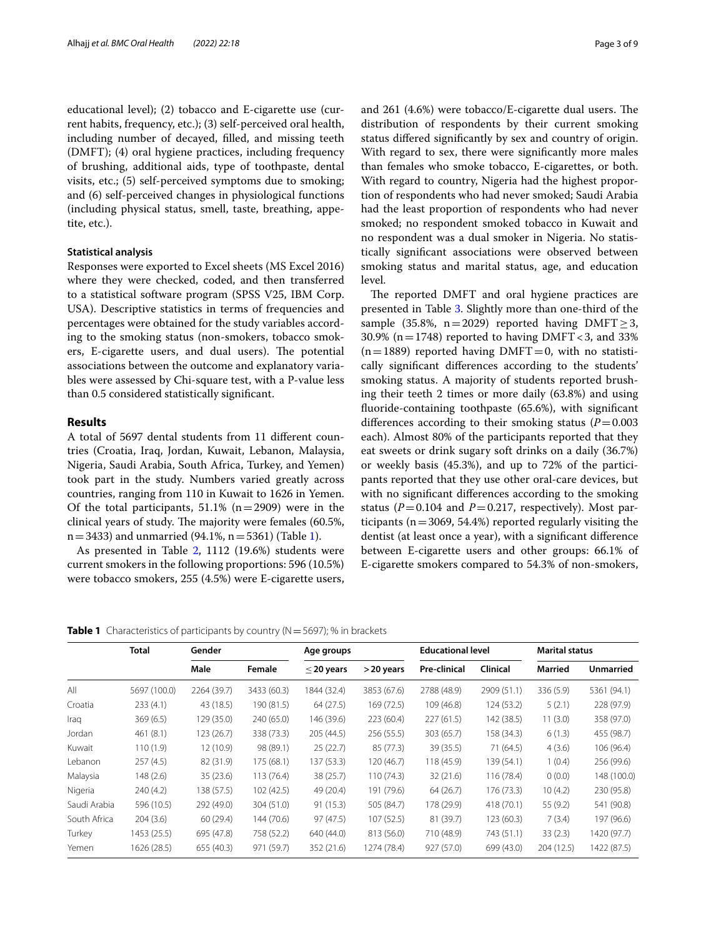educational level); (2) tobacco and E-cigarette use (current habits, frequency, etc.); (3) self-perceived oral health, including number of decayed, flled, and missing teeth (DMFT); (4) oral hygiene practices, including frequency of brushing, additional aids, type of toothpaste, dental visits, etc.; (5) self-perceived symptoms due to smoking; and (6) self-perceived changes in physiological functions (including physical status, smell, taste, breathing, appetite, etc.).

#### **Statistical analysis**

Responses were exported to Excel sheets (MS Excel 2016) where they were checked, coded, and then transferred to a statistical software program (SPSS V25, IBM Corp. USA). Descriptive statistics in terms of frequencies and percentages were obtained for the study variables according to the smoking status (non-smokers, tobacco smokers, E-cigarette users, and dual users). The potential associations between the outcome and explanatory variables were assessed by Chi-square test, with a P-value less than 0.5 considered statistically signifcant.

#### **Results**

A total of 5697 dental students from 11 diferent countries (Croatia, Iraq, Jordan, Kuwait, Lebanon, Malaysia, Nigeria, Saudi Arabia, South Africa, Turkey, and Yemen) took part in the study. Numbers varied greatly across countries, ranging from 110 in Kuwait to 1626 in Yemen. Of the total participants,  $51.1\%$  (n=2909) were in the clinical years of study. The majority were females (60.5%,  $n=3433$ ) and unmarried (94.1%,  $n=5361$ ) (Table [1\)](#page-2-0).

As presented in Table [2,](#page-3-0) 1112 (19.6%) students were current smokers in the following proportions: 596 (10.5%) were tobacco smokers, 255 (4.5%) were E-cigarette users, and  $261$  (4.6%) were tobacco/E-cigarette dual users. The distribution of respondents by their current smoking status difered signifcantly by sex and country of origin. With regard to sex, there were signifcantly more males than females who smoke tobacco, E-cigarettes, or both. With regard to country, Nigeria had the highest proportion of respondents who had never smoked; Saudi Arabia had the least proportion of respondents who had never smoked; no respondent smoked tobacco in Kuwait and no respondent was a dual smoker in Nigeria. No statistically signifcant associations were observed between smoking status and marital status, age, and education level.

The reported DMFT and oral hygiene practices are presented in Table [3.](#page-4-0) Slightly more than one-third of the sample (35.8%, n=2029) reported having DMFT $\geq$ 3, 30.9% ( $n=1748$ ) reported to having DMFT < 3, and 33%  $(n=1889)$  reported having DMFT = 0, with no statistically signifcant diferences according to the students' smoking status. A majority of students reported brushing their teeth 2 times or more daily (63.8%) and using fuoride-containing toothpaste (65.6%), with signifcant differences according to their smoking status  $(P=0.003)$ each). Almost 80% of the participants reported that they eat sweets or drink sugary soft drinks on a daily (36.7%) or weekly basis (45.3%), and up to 72% of the participants reported that they use other oral-care devices, but with no signifcant diferences according to the smoking status ( $P = 0.104$  and  $P = 0.217$ , respectively). Most participants ( $n=3069$ , 54.4%) reported regularly visiting the dentist (at least once a year), with a signifcant diference between E-cigarette users and other groups: 66.1% of E-cigarette smokers compared to 54.3% of non-smokers,

<span id="page-2-0"></span>**Table 1** Characteristics of participants by country (N = 5697); % in brackets

|              | Total        | Gender      |             | Age groups      |             | <b>Educational level</b> |                 | <b>Marital status</b> |                  |
|--------------|--------------|-------------|-------------|-----------------|-------------|--------------------------|-----------------|-----------------------|------------------|
|              |              | Male        | Female      | $\leq$ 20 years | >20 years   | <b>Pre-clinical</b>      | <b>Clinical</b> | <b>Married</b>        | <b>Unmarried</b> |
| All          | 5697 (100.0) | 2264 (39.7) | 3433 (60.3) | 1844 (32.4)     | 3853 (67.6) | 2788 (48.9)              | 2909 (51.1)     | 336 (5.9)             | 5361 (94.1)      |
| Croatia      | 233 (4.1)    | 43 (18.5)   | 190 (81.5)  | 64 (27.5)       | 169 (72.5)  | 109 (46.8)               | 124 (53.2)      | 5(2.1)                | 228 (97.9)       |
| Iraq         | 369(6.5)     | 129 (35.0)  | 240 (65.0)  | 146 (39.6)      | 223 (60.4)  | 227(61.5)                | 142 (38.5)      | 11(3.0)               | 358 (97.0)       |
| Jordan       | 461(8.1)     | 123 (26.7)  | 338 (73.3)  | 205 (44.5)      | 256 (55.5)  | 303 (65.7)               | 158 (34.3)      | 6(1.3)                | 455 (98.7)       |
| Kuwait       | 110(1.9)     | 12(10.9)    | 98 (89.1)   | 25(22.7)        | 85 (77.3)   | 39 (35.5)                | 71 (64.5)       | 4(3.6)                | 106 (96.4)       |
| Lebanon      | 257(4.5)     | 82 (31.9)   | 175 (68.1)  | 137 (53.3)      | 120 (46.7)  | 118 (45.9)               | 139 (54.1)      | 1(0.4)                | 256 (99.6)       |
| Malaysia     | 148 (2.6)    | 35(23.6)    | 113(76.4)   | 38 (25.7)       | 110 (74.3)  | 32(21.6)                 | 116(78.4)       | 0(0.0)                | 148 (100.0)      |
| Nigeria      | 240 (4.2)    | 138 (57.5)  | 102 (42.5)  | 49 (20.4)       | 191 (79.6)  | 64(26.7)                 | 176(73.3)       | 10(4.2)               | 230 (95.8)       |
| Saudi Arabia | 596 (10.5)   | 292 (49.0)  | 304 (51.0)  | 91 (15.3)       | 505 (84.7)  | 178 (29.9)               | 418 (70.1)      | 55 (9.2)              | 541 (90.8)       |
| South Africa | 204(3.6)     | 60(29.4)    | 144 (70.6)  | 97 (47.5)       | 107(52.5)   | 81 (39.7)                | 123(60.3)       | 7(3.4)                | 197 (96.6)       |
| Turkey       | 1453 (25.5)  | 695 (47.8)  | 758 (52.2)  | 640 (44.0)      | 813 (56.0)  | 710 (48.9)               | 743 (51.1)      | 33(2.3)               | 1420 (97.7)      |
| Yemen        | 1626 (28.5)  | 655 (40.3)  | 971 (59.7)  | 352 (21.6)      | 1274 (78.4) | 927 (57.0)               | 699 (43.0)      | 204 (12.5)            | 1422 (87.5)      |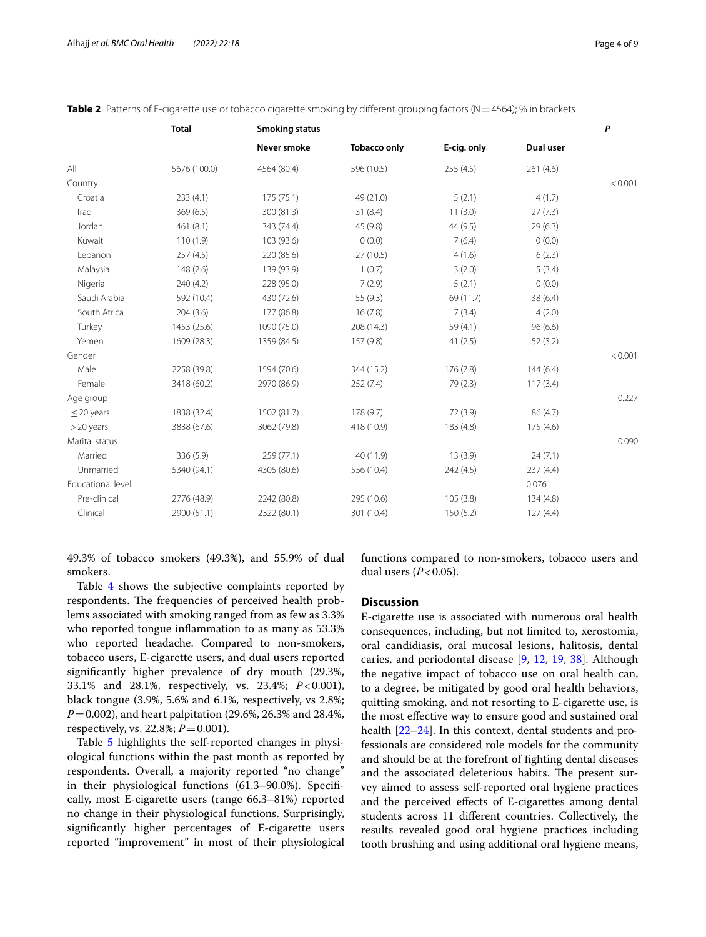<span id="page-3-0"></span>

| Table 2 Patterns of E-cigarette use or tobacco cigarette smoking by different grouping factors (N=4564); % in brackets |
|------------------------------------------------------------------------------------------------------------------------|
|------------------------------------------------------------------------------------------------------------------------|

|                   | <b>Total</b> | <b>Smoking status</b> |                     |             |           |         |  |  |
|-------------------|--------------|-----------------------|---------------------|-------------|-----------|---------|--|--|
|                   |              | Never smoke           | <b>Tobacco only</b> | E-cig. only | Dual user |         |  |  |
| All               | 5676 (100.0) | 4564 (80.4)           | 596 (10.5)          | 255(4.5)    | 261(4.6)  |         |  |  |
| Country           |              |                       |                     |             |           | < 0.001 |  |  |
| Croatia           | 233(4.1)     | 175 (75.1)            | 49 (21.0)           | 5(2.1)      | 4(1.7)    |         |  |  |
| Iraq              | 369(6.5)     | 300 (81.3)            | 31(8.4)             | 11(3.0)     | 27(7.3)   |         |  |  |
| Jordan            | 461(8.1)     | 343 (74.4)            | 45 (9.8)            | 44 (9.5)    | 29(6.3)   |         |  |  |
| Kuwait            | 110(1.9)     | 103 (93.6)            | 0(0.0)              | 7(6.4)      | 0(0.0)    |         |  |  |
| Lebanon           | 257(4.5)     | 220 (85.6)            | 27 (10.5)           | 4(1.6)      | 6(2.3)    |         |  |  |
| Malaysia          | 148(2.6)     | 139 (93.9)            | 1(0.7)              | 3(2.0)      | 5(3.4)    |         |  |  |
| Nigeria           | 240 (4.2)    | 228 (95.0)            | 7(2.9)              | 5(2.1)      | 0(0.0)    |         |  |  |
| Saudi Arabia      | 592 (10.4)   | 430 (72.6)            | 55 (9.3)            | 69 (11.7)   | 38 (6.4)  |         |  |  |
| South Africa      | 204(3.6)     | 177 (86.8)            | 16(7.8)             | 7(3.4)      | 4(2.0)    |         |  |  |
| Turkey            | 1453 (25.6)  | 1090 (75.0)           | 208 (14.3)          | 59 (4.1)    | 96(6.6)   |         |  |  |
| Yemen             | 1609 (28.3)  | 1359 (84.5)           | 157 (9.8)           | 41(2.5)     | 52(3.2)   |         |  |  |
| Gender            |              |                       |                     |             |           | < 0.001 |  |  |
| Male              | 2258 (39.8)  | 1594 (70.6)           | 344 (15.2)          | 176 (7.8)   | 144(6.4)  |         |  |  |
| Female            | 3418 (60.2)  | 2970 (86.9)           | 252(7.4)            | 79(2.3)     | 117(3.4)  |         |  |  |
| Age group         |              |                       |                     |             |           | 0.227   |  |  |
| $\leq$ 20 years   | 1838 (32.4)  | 1502 (81.7)           | 178(9.7)            | 72 (3.9)    | 86 (4.7)  |         |  |  |
| $>$ 20 years      | 3838 (67.6)  | 3062 (79.8)           | 418 (10.9)          | 183 (4.8)   | 175 (4.6) |         |  |  |
| Marital status    |              |                       |                     |             |           | 0.090   |  |  |
| Married           | 336 (5.9)    | 259 (77.1)            | 40 (11.9)           | 13(3.9)     | 24(7.1)   |         |  |  |
| Unmarried         | 5340 (94.1)  | 4305 (80.6)           | 556 (10.4)          | 242 (4.5)   | 237(4.4)  |         |  |  |
| Educational level |              |                       |                     |             | 0.076     |         |  |  |
| Pre-clinical      | 2776 (48.9)  | 2242 (80.8)           | 295 (10.6)          | 105(3.8)    | 134(4.8)  |         |  |  |
| Clinical          | 2900 (51.1)  | 2322 (80.1)           | 301 (10.4)          | 150(5.2)    | 127(4.4)  |         |  |  |

49.3% of tobacco smokers (49.3%), and 55.9% of dual smokers.

Table [4](#page-4-1) shows the subjective complaints reported by respondents. The frequencies of perceived health problems associated with smoking ranged from as few as 3.3% who reported tongue infammation to as many as 53.3% who reported headache. Compared to non-smokers, tobacco users, E-cigarette users, and dual users reported signifcantly higher prevalence of dry mouth (29.3%, 33.1% and 28.1%, respectively, vs. 23.4%; *P*<0.001), black tongue (3.9%, 5.6% and 6.1%, respectively, vs 2.8%; *P*=0.002), and heart palpitation (29.6%, 26.3% and 28.4%, respectively, vs. 22.8%; *P*=0.001).

Table [5](#page-5-0) highlights the self-reported changes in physiological functions within the past month as reported by respondents. Overall, a majority reported "no change" in their physiological functions (61.3–90.0%). Specifcally, most E-cigarette users (range 66.3–81%) reported no change in their physiological functions. Surprisingly, signifcantly higher percentages of E-cigarette users reported "improvement" in most of their physiological functions compared to non-smokers, tobacco users and dual users  $(P<0.05)$ .

### **Discussion**

E-cigarette use is associated with numerous oral health consequences, including, but not limited to, xerostomia, oral candidiasis, oral mucosal lesions, halitosis, dental caries, and periodontal disease [[9,](#page-7-8) [12](#page-7-11), [19,](#page-7-17) [38](#page-8-14)]. Although the negative impact of tobacco use on oral health can, to a degree, be mitigated by good oral health behaviors, quitting smoking, and not resorting to E-cigarette use, is the most efective way to ensure good and sustained oral health [[22](#page-8-2)[–24](#page-8-3)]. In this context, dental students and professionals are considered role models for the community and should be at the forefront of fghting dental diseases and the associated deleterious habits. The present survey aimed to assess self-reported oral hygiene practices and the perceived efects of E-cigarettes among dental students across 11 diferent countries. Collectively, the results revealed good oral hygiene practices including tooth brushing and using additional oral hygiene means,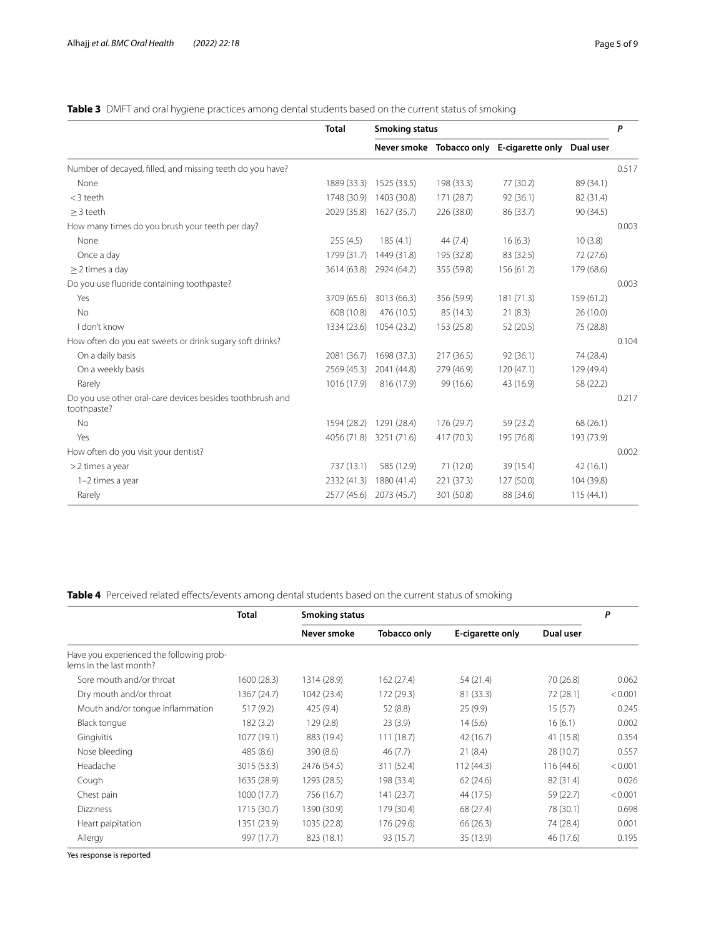## <span id="page-4-0"></span>**Table 3** DMFT and oral hygiene practices among dental students based on the current status of smoking

|                                                                          | <b>Total</b> | <b>Smoking status</b> |            |                                           |            | P     |
|--------------------------------------------------------------------------|--------------|-----------------------|------------|-------------------------------------------|------------|-------|
|                                                                          |              |                       |            | Never smoke Tobacco only E-cigarette only | Dual user  |       |
| Number of decayed, filled, and missing teeth do you have?                |              |                       |            |                                           |            | 0.517 |
| None                                                                     | 1889 (33.3)  | 1525 (33.5)           | 198 (33.3) | 77 (30.2)                                 | 89 (34.1)  |       |
| $<$ 3 teeth                                                              | 1748 (30.9)  | 1403 (30.8)           | 171 (28.7) | 92(36.1)                                  | 82 (31.4)  |       |
| $>$ 3 teeth                                                              | 2029 (35.8)  | 1627 (35.7)           | 226 (38.0) | 86 (33.7)                                 | 90 (34.5)  |       |
| How many times do you brush your teeth per day?                          |              |                       |            |                                           |            | 0.003 |
| None                                                                     | 255(4.5)     | 185(4.1)              | 44(7.4)    | 16(6.3)                                   | 10(3.8)    |       |
| Once a day                                                               | 1799 (31.7)  | 1449 (31.8)           | 195 (32.8) | 83 (32.5)                                 | 72(27.6)   |       |
| $\geq$ 2 times a day                                                     | 3614 (63.8)  | 2924 (64.2)           | 355 (59.8) | 156 (61.2)                                | 179 (68.6) |       |
| Do you use fluoride containing toothpaste?                               |              |                       |            |                                           |            | 0.003 |
| Yes                                                                      | 3709 (65.6)  | 3013 (66.3)           | 356 (59.9) | 181(71.3)                                 | 159 (61.2) |       |
| <b>No</b>                                                                | 608 (10.8)   | 476 (10.5)            | 85 (14.3)  | 21(8.3)                                   | 26(10.0)   |       |
| I don't know                                                             | 1334 (23.6)  | 1054 (23.2)           | 153 (25.8) | 52 (20.5)                                 | 75 (28.8)  |       |
| How often do you eat sweets or drink sugary soft drinks?                 |              |                       |            |                                           |            | 0.104 |
| On a daily basis                                                         | 2081 (36.7)  | 1698 (37.3)           | 217 (36.5) | 92(36.1)                                  | 74 (28.4)  |       |
| On a weekly basis                                                        | 2569 (45.3)  | 2041 (44.8)           | 279 (46.9) | 120(47.1)                                 | 129 (49.4) |       |
| Rarely                                                                   | 1016 (17.9)  | 816 (17.9)            | 99 (16.6)  | 43 (16.9)                                 | 58 (22.2)  |       |
| Do you use other oral-care devices besides toothbrush and<br>toothpaste? |              |                       |            |                                           |            | 0.217 |
| <b>No</b>                                                                | 1594 (28.2)  | 1291 (28.4)           | 176 (29.7) | 59 (23.2)                                 | 68 (26.1)  |       |
| Yes                                                                      | 4056 (71.8)  | 3251 (71.6)           | 417 (70.3) | 195 (76.8)                                | 193 (73.9) |       |
| How often do you visit your dentist?                                     |              |                       |            |                                           |            | 0.002 |
| > 2 times a year                                                         | 737 (13.1)   | 585 (12.9)            | 71(12.0)   | 39 (15.4)                                 | 42(16.1)   |       |
| 1-2 times a year                                                         | 2332 (41.3)  | 1880 (41.4)           | 221 (37.3) | 127 (50.0)                                | 104 (39.8) |       |
| Rarely                                                                   | 2577 (45.6)  | 2073 (45.7)           | 301 (50.8) | 88 (34.6)                                 | 115(44.1)  |       |

## <span id="page-4-1"></span>**Table 4** Perceived related effects/events among dental students based on the current status of smoking

|                                                                     | Total       | Smoking status |              |                  |           |         |
|---------------------------------------------------------------------|-------------|----------------|--------------|------------------|-----------|---------|
|                                                                     |             | Never smoke    | Tobacco only | E-cigarette only | Dual user |         |
| Have you experienced the following prob-<br>lems in the last month? |             |                |              |                  |           |         |
| Sore mouth and/or throat                                            | 1600 (28.3) | 1314 (28.9)    | 162(27.4)    | 54 (21.4)        | 70 (26.8) | 0.062   |
| Dry mouth and/or throat                                             | 1367 (24.7) | 1042 (23.4)    | 172 (29.3)   | 81 (33.3)        | 72 (28.1) | < 0.001 |
| Mouth and/or tonque inflammation                                    | 517(9.2)    | 425(9.4)       | 52 (8.8)     | 25(9.9)          | 15(5.7)   | 0.245   |
| Black tonque                                                        | 182(3.2)    | 129(2.8)       | 23(3.9)      | 14(5.6)          | 16(6.1)   | 0.002   |
| Gingivitis                                                          | 1077 (19.1) | 883 (19.4)     | 111(18.7)    | 42 (16.7)        | 41 (15.8) | 0.354   |
| Nose bleeding                                                       | 485 (8.6)   | 390 (8.6)      | 46(7.7)      | 21(8.4)          | 28 (10.7) | 0.557   |
| Headache                                                            | 3015 (53.3) | 2476 (54.5)    | 311 (52.4)   | 112(44.3)        | 116(44.6) | < 0.001 |
| Cough                                                               | 1635 (28.9) | 1293 (28.5)    | 198 (33.4)   | 62(24.6)         | 82 (31.4) | 0.026   |
| Chest pain                                                          | 1000 (17.7) | 756 (16.7)     | 141 (23.7)   | 44 (17.5)        | 59 (22.7) | < 0.001 |
| <b>Dizziness</b>                                                    | 1715 (30.7) | 1390 (30.9)    | 179 (30.4)   | 68 (27.4)        | 78 (30.1) | 0.698   |
| Heart palpitation                                                   | 1351 (23.9) | 1035 (22.8)    | 176 (29.6)   | 66 (26.3)        | 74 (28.4) | 0.001   |
| Allergy                                                             | 997 (17.7)  | 823 (18.1)     | 93 (15.7)    | 35 (13.9)        | 46 (17.6) | 0.195   |

Yes response is reported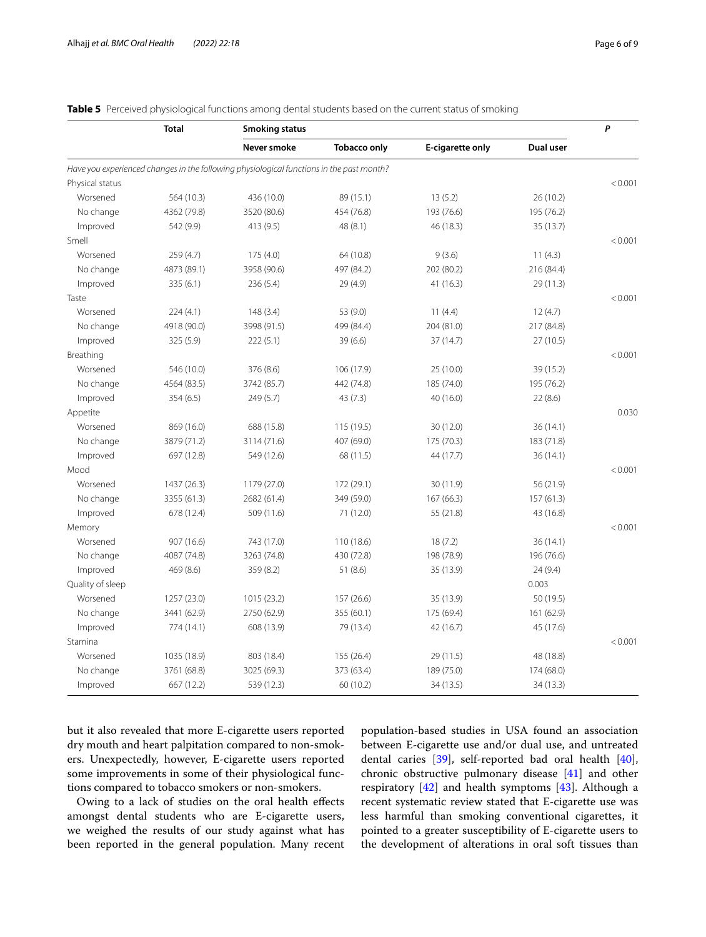<span id="page-5-0"></span>**Table 5** Perceived physiological functions among dental students based on the current status of smoking

|                  | <b>Total</b> | <b>Smoking status</b>                                                                    |                     |                  |            |         |  |  |
|------------------|--------------|------------------------------------------------------------------------------------------|---------------------|------------------|------------|---------|--|--|
|                  |              | Never smoke                                                                              | <b>Tobacco only</b> | E-cigarette only | Dual user  |         |  |  |
|                  |              | Have you experienced changes in the following physiological functions in the past month? |                     |                  |            |         |  |  |
| Physical status  |              |                                                                                          |                     |                  |            | < 0.001 |  |  |
| Worsened         | 564 (10.3)   | 436 (10.0)                                                                               | 89 (15.1)           | 13(5.2)          | 26 (10.2)  |         |  |  |
| No change        | 4362 (79.8)  | 3520 (80.6)                                                                              | 454 (76.8)          | 193 (76.6)       | 195 (76.2) |         |  |  |
| Improved         | 542 (9.9)    | 413 (9.5)                                                                                | 48(8.1)             | 46 (18.3)        | 35 (13.7)  |         |  |  |
| Smell            |              |                                                                                          |                     |                  |            | < 0.001 |  |  |
| Worsened         | 259(4.7)     | 175(4.0)                                                                                 | 64 (10.8)           | 9(3.6)           | 11(4.3)    |         |  |  |
| No change        | 4873 (89.1)  | 3958 (90.6)                                                                              | 497 (84.2)          | 202 (80.2)       | 216 (84.4) |         |  |  |
| Improved         | 335 (6.1)    | 236 (5.4)                                                                                | 29(4.9)             | 41 (16.3)        | 29 (11.3)  |         |  |  |
| Taste            |              |                                                                                          |                     |                  |            | < 0.001 |  |  |
| Worsened         | 224(4.1)     | 148(3.4)                                                                                 | 53 (9.0)            | 11(4.4)          | 12(4.7)    |         |  |  |
| No change        | 4918 (90.0)  | 3998 (91.5)                                                                              | 499 (84.4)          | 204 (81.0)       | 217 (84.8) |         |  |  |
| Improved         | 325 (5.9)    | 222(5.1)                                                                                 | 39(6.6)             | 37 (14.7)        | 27 (10.5)  |         |  |  |
| Breathing        |              |                                                                                          |                     |                  |            | < 0.001 |  |  |
| Worsened         | 546 (10.0)   | 376 (8.6)                                                                                | 106 (17.9)          | 25 (10.0)        | 39 (15.2)  |         |  |  |
| No change        | 4564 (83.5)  | 3742 (85.7)                                                                              | 442 (74.8)          | 185 (74.0)       | 195 (76.2) |         |  |  |
| Improved         | 354(6.5)     | 249 (5.7)                                                                                | 43(7.3)             | 40 (16.0)        | 22(8.6)    |         |  |  |
| Appetite         |              |                                                                                          |                     |                  |            | 0.030   |  |  |
| Worsened         | 869 (16.0)   | 688 (15.8)                                                                               | 115(19.5)           | 30 (12.0)        | 36(14.1)   |         |  |  |
| No change        | 3879 (71.2)  | 3114 (71.6)                                                                              | 407 (69.0)          | 175 (70.3)       | 183 (71.8) |         |  |  |
| Improved         | 697 (12.8)   | 549 (12.6)                                                                               | 68 (11.5)           | 44 (17.7)        | 36 (14.1)  |         |  |  |
| Mood             |              |                                                                                          |                     |                  |            | < 0.001 |  |  |
| Worsened         | 1437 (26.3)  | 1179 (27.0)                                                                              | 172 (29.1)          | 30 (11.9)        | 56 (21.9)  |         |  |  |
| No change        | 3355 (61.3)  | 2682 (61.4)                                                                              | 349 (59.0)          | 167 (66.3)       | 157(61.3)  |         |  |  |
| Improved         | 678 (12.4)   | 509 (11.6)                                                                               | 71 (12.0)           | 55 (21.8)        | 43 (16.8)  |         |  |  |
| Memory           |              |                                                                                          |                     |                  |            | < 0.001 |  |  |
| Worsened         | 907 (16.6)   | 743 (17.0)                                                                               | 110 (18.6)          | 18(7.2)          | 36(14.1)   |         |  |  |
| No change        | 4087 (74.8)  | 3263 (74.8)                                                                              | 430 (72.8)          | 198 (78.9)       | 196 (76.6) |         |  |  |
| Improved         | 469 (8.6)    | 359 (8.2)                                                                                | 51(8.6)             | 35 (13.9)        | 24 (9.4)   |         |  |  |
| Quality of sleep |              |                                                                                          |                     |                  | 0.003      |         |  |  |
| Worsened         | 1257 (23.0)  | 1015 (23.2)                                                                              | 157 (26.6)          | 35 (13.9)        | 50 (19.5)  |         |  |  |
| No change        | 3441 (62.9)  | 2750 (62.9)                                                                              | 355 (60.1)          | 175 (69.4)       | 161 (62.9) |         |  |  |
| Improved         | 774 (14.1)   | 608 (13.9)                                                                               | 79 (13.4)           | 42 (16.7)        | 45 (17.6)  |         |  |  |
| Stamina          |              |                                                                                          |                     |                  |            | < 0.001 |  |  |
| Worsened         | 1035 (18.9)  | 803 (18.4)                                                                               | 155 (26.4)          | 29 (11.5)        | 48 (18.8)  |         |  |  |
| No change        | 3761 (68.8)  | 3025 (69.3)                                                                              | 373 (63.4)          | 189 (75.0)       | 174 (68.0) |         |  |  |
| Improved         | 667 (12.2)   | 539 (12.3)                                                                               | 60 (10.2)           | 34 (13.5)        | 34 (13.3)  |         |  |  |

but it also revealed that more E-cigarette users reported dry mouth and heart palpitation compared to non-smokers. Unexpectedly, however, E-cigarette users reported some improvements in some of their physiological functions compared to tobacco smokers or non-smokers.

Owing to a lack of studies on the oral health efects amongst dental students who are E-cigarette users, we weighed the results of our study against what has been reported in the general population. Many recent population-based studies in USA found an association between E-cigarette use and/or dual use, and untreated dental caries [\[39\]](#page-8-15), self-reported bad oral health [\[40](#page-8-16)], chronic obstructive pulmonary disease [[41\]](#page-8-17) and other respiratory [[42\]](#page-8-18) and health symptoms [\[43\]](#page-8-19). Although a recent systematic review stated that E-cigarette use was less harmful than smoking conventional cigarettes, it pointed to a greater susceptibility of E-cigarette users to the development of alterations in oral soft tissues than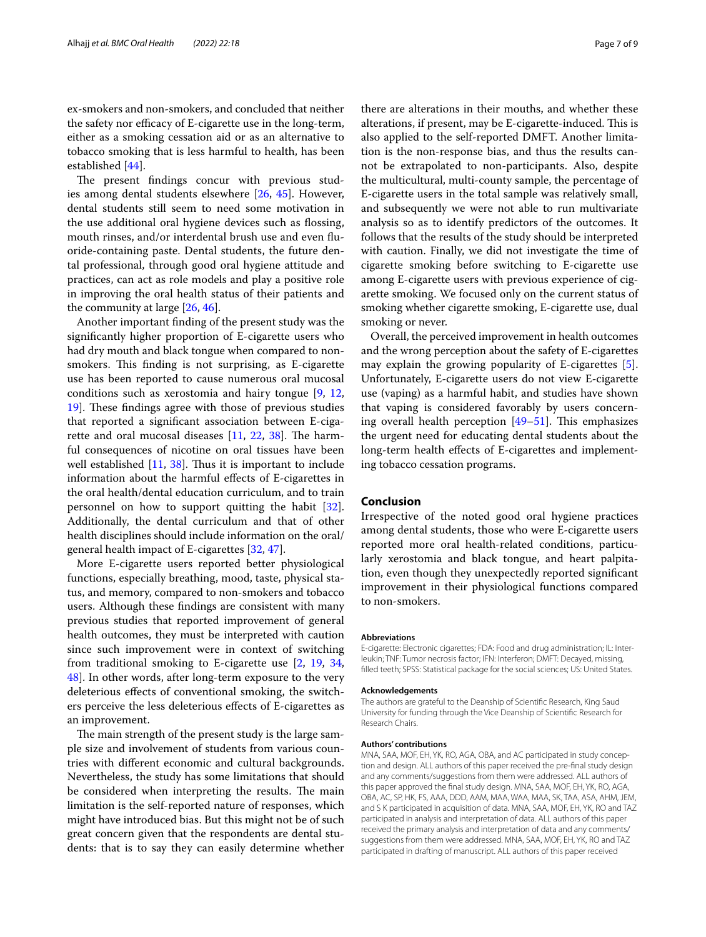ex-smokers and non-smokers, and concluded that neither the safety nor efficacy of E-cigarette use in the long-term, either as a smoking cessation aid or as an alternative to tobacco smoking that is less harmful to health, has been established [[44](#page-8-20)].

The present findings concur with previous studies among dental students elsewhere [\[26](#page-8-7), [45\]](#page-8-21). However, dental students still seem to need some motivation in the use additional oral hygiene devices such as fossing, mouth rinses, and/or interdental brush use and even fuoride-containing paste. Dental students, the future dental professional, through good oral hygiene attitude and practices, can act as role models and play a positive role in improving the oral health status of their patients and the community at large [[26,](#page-8-7) [46\]](#page-8-22).

Another important fnding of the present study was the signifcantly higher proportion of E-cigarette users who had dry mouth and black tongue when compared to nonsmokers. This finding is not surprising, as E-cigarette use has been reported to cause numerous oral mucosal conditions such as xerostomia and hairy tongue [\[9](#page-7-8), [12](#page-7-11), 19. These findings agree with those of previous studies that reported a signifcant association between E-cigarette and oral mucosal diseases  $[11, 22, 38]$  $[11, 22, 38]$  $[11, 22, 38]$  $[11, 22, 38]$  $[11, 22, 38]$ . The harmful consequences of nicotine on oral tissues have been well established  $[11, 38]$  $[11, 38]$  $[11, 38]$  $[11, 38]$ . Thus it is important to include information about the harmful efects of E-cigarettes in the oral health/dental education curriculum, and to train personnel on how to support quitting the habit [\[32](#page-8-10)]. Additionally, the dental curriculum and that of other health disciplines should include information on the oral/ general health impact of E-cigarettes [[32](#page-8-10), [47\]](#page-8-23).

More E-cigarette users reported better physiological functions, especially breathing, mood, taste, physical status, and memory, compared to non-smokers and tobacco users. Although these fndings are consistent with many previous studies that reported improvement of general health outcomes, they must be interpreted with caution since such improvement were in context of switching from traditional smoking to E-cigarette use [[2](#page-7-1), [19,](#page-7-17) [34](#page-8-12), [48\]](#page-8-24). In other words, after long-term exposure to the very deleterious efects of conventional smoking, the switchers perceive the less deleterious efects of E-cigarettes as an improvement.

The main strength of the present study is the large sample size and involvement of students from various countries with diferent economic and cultural backgrounds. Nevertheless, the study has some limitations that should be considered when interpreting the results. The main limitation is the self-reported nature of responses, which might have introduced bias. But this might not be of such great concern given that the respondents are dental students: that is to say they can easily determine whether

there are alterations in their mouths, and whether these alterations, if present, may be E-cigarette-induced. This is also applied to the self-reported DMFT. Another limitation is the non-response bias, and thus the results cannot be extrapolated to non-participants. Also, despite the multicultural, multi-county sample, the percentage of E-cigarette users in the total sample was relatively small, and subsequently we were not able to run multivariate analysis so as to identify predictors of the outcomes. It follows that the results of the study should be interpreted with caution. Finally, we did not investigate the time of cigarette smoking before switching to E-cigarette use among E-cigarette users with previous experience of cigarette smoking. We focused only on the current status of smoking whether cigarette smoking, E-cigarette use, dual smoking or never.

Overall, the perceived improvement in health outcomes and the wrong perception about the safety of E-cigarettes may explain the growing popularity of E-cigarettes [\[5](#page-7-4)]. Unfortunately, E-cigarette users do not view E-cigarette use (vaping) as a harmful habit, and studies have shown that vaping is considered favorably by users concerning overall health perception  $[49-51]$  $[49-51]$  $[49-51]$ . This emphasizes the urgent need for educating dental students about the long-term health effects of E-cigarettes and implementing tobacco cessation programs.

#### **Conclusion**

Irrespective of the noted good oral hygiene practices among dental students, those who were E-cigarette users reported more oral health-related conditions, particularly xerostomia and black tongue, and heart palpitation, even though they unexpectedly reported signifcant improvement in their physiological functions compared to non-smokers.

#### **Abbreviations**

E-cigarette: Electronic cigarettes; FDA: Food and drug administration; IL: Inter‑ leukin; TNF: Tumor necrosis factor; IFN: Interferon; DMFT: Decayed, missing, flled teeth; SPSS: Statistical package for the social sciences; US: United States.

#### **Acknowledgements**

The authors are grateful to the Deanship of Scientifc Research, King Saud University for funding through the Vice Deanship of Scientifc Research for Research Chairs.

#### **Authors' contributions**

MNA, SAA, MOF, EH, YK, RO, AGA, OBA, and AC participated in study conception and design. ALL authors of this paper received the pre-fnal study design and any comments/suggestions from them were addressed. ALL authors of this paper approved the fnal study design. MNA, SAA, MOF, EH, YK, RO, AGA, OBA, AC, SP, HK, FS, AAA, DDD, AAM, MAA, WAA, MAA, SK, TAA, ASA, AHM, JEM, and S K participated in acquisition of data. MNA, SAA, MOF, EH, YK, RO and TAZ participated in analysis and interpretation of data. ALL authors of this paper received the primary analysis and interpretation of data and any comments/ suggestions from them were addressed. MNA, SAA, MOF, EH, YK, RO and TAZ participated in drafting of manuscript. ALL authors of this paper received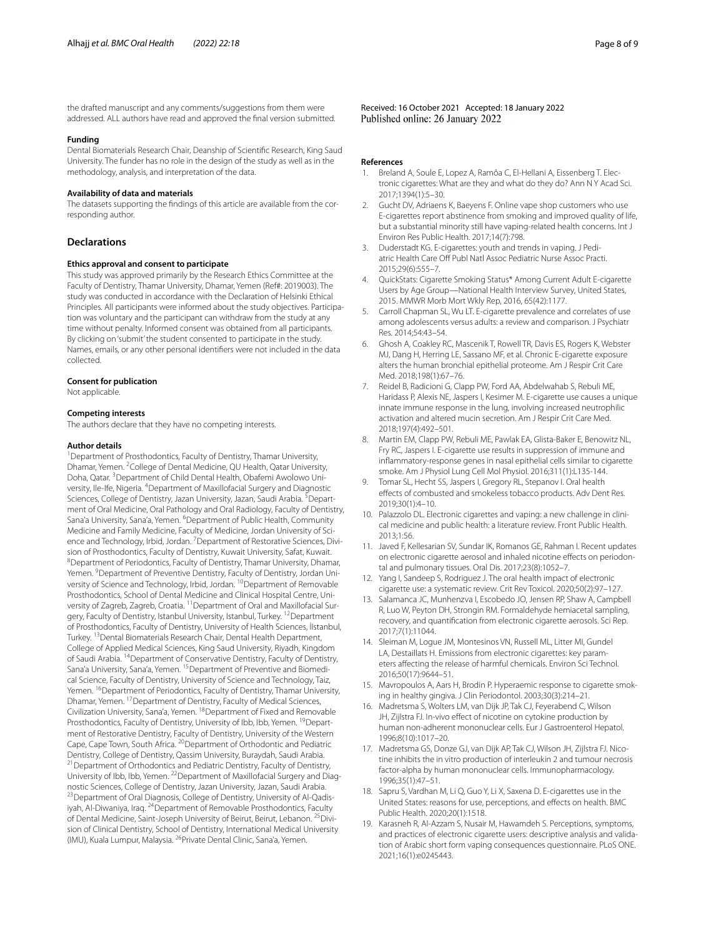the drafted manuscript and any comments/suggestions from them were addressed. ALL authors have read and approved the fnal version submitted.

#### **Funding**

Dental Biomaterials Research Chair, Deanship of Scientifc Research, King Saud University. The funder has no role in the design of the study as well as in the methodology, analysis, and interpretation of the data.

#### **Availability of data and materials**

The datasets supporting the findings of this article are available from the corresponding author.

#### **Declarations**

#### **Ethics approval and consent to participate**

This study was approved primarily by the Research Ethics Committee at the Faculty of Dentistry, Thamar University, Dhamar, Yemen (Ref#: 2019003). The study was conducted in accordance with the Declaration of Helsinki Ethical Principles. All participants were informed about the study objectives. Participation was voluntary and the participant can withdraw from the study at any time without penalty. Informed consent was obtained from all participants. By clicking on 'submit' the student consented to participate in the study. Names, emails, or any other personal identifers were not included in the data collected.

#### **Consent for publication**

Not applicable.

#### **Competing interests**

The authors declare that they have no competing interests.

#### **Author details**

<sup>1</sup> Department of Prosthodontics, Faculty of Dentistry, Thamar University, Dhamar, Yemen. <sup>2</sup> College of Dental Medicine, QU Health, Qatar University, Doha, Qatar. <sup>3</sup> Department of Child Dental Health, Obafemi Awolowo University, Ile-Ife, Nigeria. <sup>4</sup> Department of Maxillofacial Surgery and Diagnostic Sciences, College of Dentistry, Jazan University, Jazan, Saudi Arabia. <sup>5</sup>Department of Oral Medicine, Oral Pathology and Oral Radiology, Faculty of Dentistry, Sana'a University, Sana'a, Yemen. <sup>6</sup>Department of Public Health, Community Medicine and Family Medicine, Faculty of Medicine, Jordan University of Science and Technology, Irbid, Jordan. <sup>7</sup> Department of Restorative Sciences, Division of Prosthodontics, Faculty of Dentistry, Kuwait University, Safat, Kuwait. 8 Department of Periodontics, Faculty of Dentistry, Thamar University, Dhamar, Yemen. <sup>9</sup> Department of Preventive Dentistry, Faculty of Dentistry, Jordan University of Science and Technology, Irbid, Jordan. <sup>10</sup> Department of Removable Prosthodontics, School of Dental Medicine and Clinical Hospital Centre, University of Zagreb, Zagreb, Croatia. <sup>11</sup> Department of Oral and Maxillofacial Surgery, Faculty of Dentistry, Istanbul University, Istanbul, Turkey. <sup>12</sup> Department of Prosthodontics, Faculty of Dentistry, University of Health Sciences, İIstanbul, Turkey. 13Dental Biomaterials Research Chair, Dental Health Department, College of Applied Medical Sciences, King Saud University, Riyadh, Kingdom of Saudi Arabia. 14Department of Conservative Dentistry, Faculty of Dentistry, Sana'a University, Sana'a, Yemen. <sup>15</sup> Department of Preventive and Biomedical Science, Faculty of Dentistry, University of Science and Technology, Taiz, Yemen. <sup>16</sup> Department of Periodontics, Faculty of Dentistry, Thamar University, Dhamar, Yemen. 17Department of Dentistry, Faculty of Medical Sciences, Civilization University, Sana'a, Yemen. <sup>18</sup> Department of Fixed and Removable Prosthodontics, Faculty of Dentistry, University of Ibb, Ibb, Yemen. <sup>19</sup>Department of Restorative Dentistry, Faculty of Dentistry, University of the Western Cape, Cape Town, South Africa. <sup>20</sup>Department of Orthodontic and Pediatric Dentistry, College of Dentistry, Qassim University, Buraydah, Saudi Arabia.<br><sup>21</sup>Department of Orthodontics and Pediatric Dentistry, Faculty of Dentistry, University of Ibb, Ibb, Yemen. <sup>22</sup> Department of Maxillofacial Surgery and Diagnostic Sciences, College of Dentistry, Jazan University, Jazan, Saudi Arabia.<br><sup>23</sup>Department of Oral Diagnosis, College of Dentistry, University of Al-Qadisiyah, Al-Diwaniya, Iraq. <sup>24</sup>Department of Removable Prosthodontics, Faculty of Dental Medicine, Saint-Joseph University of Beirut, Beirut, Lebanon. <sup>25</sup>Division of Clinical Dentistry, School of Dentistry, International Medical University (IMU), Kuala Lumpur, Malaysia. <sup>26</sup> Private Dental Clinic, Sana'a, Yemen.

Received: 16 October 2021 Accepted: 18 January 2022 Published online: 26 January 2022

#### **References**

- <span id="page-7-0"></span>Breland A, Soule E, Lopez A, Ramôa C, El-Hellani A, Eissenberg T. Electronic cigarettes: What are they and what do they do? Ann N Y Acad Sci. 2017;1394(1):5–30.
- <span id="page-7-1"></span>Gucht DV, Adriaens K, Baeyens F. Online vape shop customers who use E-cigarettes report abstinence from smoking and improved quality of life, but a substantial minority still have vaping-related health concerns. Int J Environ Res Public Health. 2017;14(7):798.
- <span id="page-7-2"></span>3. Duderstadt KG. E-cigarettes: youth and trends in vaping. J Pediatric Health Care Off Publ Natl Assoc Pediatric Nurse Assoc Practi. 2015;29(6):555–7.
- <span id="page-7-3"></span>4. QuickStats: Cigarette Smoking Status\* Among Current Adult E-cigarette Users by Age Group—National Health Interview Survey, United States, 2015. MMWR Morb Mort Wkly Rep, 2016, 65(42):1177.
- <span id="page-7-4"></span>Carroll Chapman SL, Wu LT. E-cigarette prevalence and correlates of use among adolescents versus adults: a review and comparison. J Psychiatr Res. 2014;54:43–54.
- <span id="page-7-5"></span>6. Ghosh A, Coakley RC, Mascenik T, Rowell TR, Davis ES, Rogers K, Webster MJ, Dang H, Herring LE, Sassano MF, et al. Chronic E-cigarette exposure alters the human bronchial epithelial proteome. Am J Respir Crit Care Med. 2018;198(1):67–76.
- <span id="page-7-6"></span>7. Reidel B, Radicioni G, Clapp PW, Ford AA, Abdelwahab S, Rebuli ME, Haridass P, Alexis NE, Jaspers I, Kesimer M. E-cigarette use causes a unique innate immune response in the lung, involving increased neutrophilic activation and altered mucin secretion. Am J Respir Crit Care Med. 2018;197(4):492–501.
- <span id="page-7-7"></span>8. Martin EM, Clapp PW, Rebuli ME, Pawlak EA, Glista-Baker E, Benowitz NL, Fry RC, Jaspers I. E-cigarette use results in suppression of immune and infammatory-response genes in nasal epithelial cells similar to cigarette smoke. Am J Physiol Lung Cell Mol Physiol. 2016;311(1):L135-144.
- <span id="page-7-8"></span>9. Tomar SL, Hecht SS, Jaspers I, Gregory RL, Stepanov I. Oral health efects of combusted and smokeless tobacco products. Adv Dent Res. 2019;30(1):4–10.
- <span id="page-7-9"></span>10. Palazzolo DL. Electronic cigarettes and vaping: a new challenge in clinical medicine and public health: a literature review. Front Public Health. 2013;1:56.
- <span id="page-7-10"></span>11. Javed F, Kellesarian SV, Sundar IK, Romanos GE, Rahman I. Recent updates on electronic cigarette aerosol and inhaled nicotine effects on periodontal and pulmonary tissues. Oral Dis. 2017;23(8):1052–7.
- <span id="page-7-11"></span>12. Yang I, Sandeep S, Rodriguez J. The oral health impact of electronic cigarette use: a systematic review. Crit Rev Toxicol. 2020;50(2):97–127.
- <span id="page-7-12"></span>13. Salamanca JC, Munhenzva I, Escobedo JO, Jensen RP, Shaw A, Campbell R, Luo W, Peyton DH, Strongin RM. Formaldehyde hemiacetal sampling, recovery, and quantifcation from electronic cigarette aerosols. Sci Rep. 2017;7(1):11044.
- <span id="page-7-13"></span>14. Sleiman M, Logue JM, Montesinos VN, Russell ML, Litter MI, Gundel LA, Destaillats H. Emissions from electronic cigarettes: key parameters afecting the release of harmful chemicals. Environ Sci Technol. 2016;50(17):9644–51.
- <span id="page-7-14"></span>15. Mavropoulos A, Aars H, Brodin P. Hyperaemic response to cigarette smok‑ ing in healthy gingiva. J Clin Periodontol. 2003;30(3):214–21.
- 16. Madretsma S, Wolters LM, van Dijk JP, Tak CJ, Feyerabend C, Wilson JH, Zijlstra FJ. In-vivo effect of nicotine on cytokine production by human non-adherent mononuclear cells. Eur J Gastroenterol Hepatol. 1996;8(10):1017–20.
- <span id="page-7-15"></span>17. Madretsma GS, Donze GJ, van Dijk AP, Tak CJ, Wilson JH, Zijlstra FJ. Nicotine inhibits the in vitro production of interleukin 2 and tumour necrosis factor-alpha by human mononuclear cells. Immunopharmacology. 1996;35(1):47–51.
- <span id="page-7-16"></span>18. Sapru S, Vardhan M, Li Q, Guo Y, Li X, Saxena D. E-cigarettes use in the United States: reasons for use, perceptions, and efects on health. BMC Public Health. 2020;20(1):1518.
- <span id="page-7-17"></span>19. Karasneh R, Al-Azzam S, Nusair M, Hawamdeh S. Perceptions, symptoms, and practices of electronic cigarette users: descriptive analysis and validation of Arabic short form vaping consequences questionnaire. PLoS ONE. 2021;16(1):e0245443.